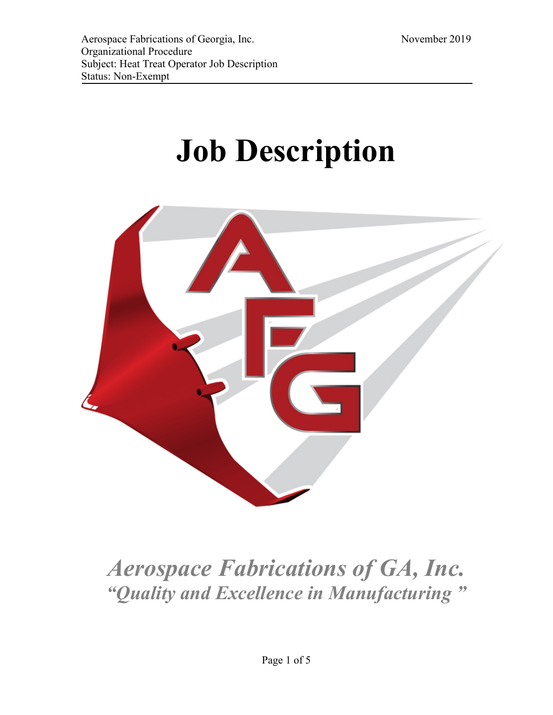# **Job Description**



# *Aerospace Fabrications of GA, Inc. "Quality and Excellence in Manufacturing "*

Page 1 of 5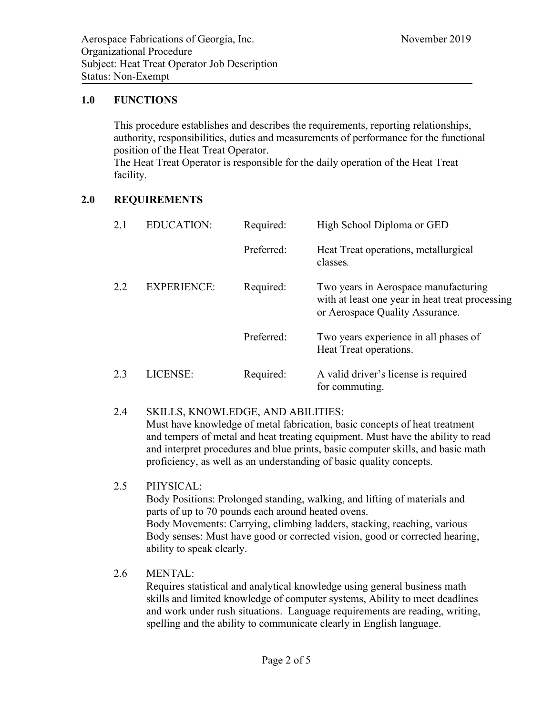#### **1.0 FUNCTIONS**

This procedure establishes and describes the requirements, reporting relationships, authority, responsibilities, duties and measurements of performance for the functional position of the Heat Treat Operator. The Heat Treat Operator is responsible for the daily operation of the Heat Treat facility.

## **2.0 REQUIREMENTS**

| 2.1 | <b>EDUCATION:</b>  | Required:  | High School Diploma or GED                                                                                                 |
|-----|--------------------|------------|----------------------------------------------------------------------------------------------------------------------------|
|     |                    | Preferred: | Heat Treat operations, metallurgical<br>classes.                                                                           |
| 2.2 | <b>EXPERIENCE:</b> | Required:  | Two years in Aerospace manufacturing<br>with at least one year in heat treat processing<br>or Aerospace Quality Assurance. |
|     |                    | Preferred: | Two years experience in all phases of<br>Heat Treat operations.                                                            |
| 2.3 | LICENSE:           | Required:  | A valid driver's license is required<br>for commuting.                                                                     |

#### 2.4 SKILLS, KNOWLEDGE, AND ABILITIES:

Must have knowledge of metal fabrication, basic concepts of heat treatment and tempers of metal and heat treating equipment. Must have the ability to read and interpret procedures and blue prints, basic computer skills, and basic math proficiency, as well as an understanding of basic quality concepts.

#### 2.5 PHYSICAL:

Body Positions: Prolonged standing, walking, and lifting of materials and parts of up to 70 pounds each around heated ovens. Body Movements: Carrying, climbing ladders, stacking, reaching, various Body senses: Must have good or corrected vision, good or corrected hearing, ability to speak clearly.

#### 2.6 MENTAL:

Requires statistical and analytical knowledge using general business math skills and limited knowledge of computer systems, Ability to meet deadlines and work under rush situations. Language requirements are reading, writing, spelling and the ability to communicate clearly in English language.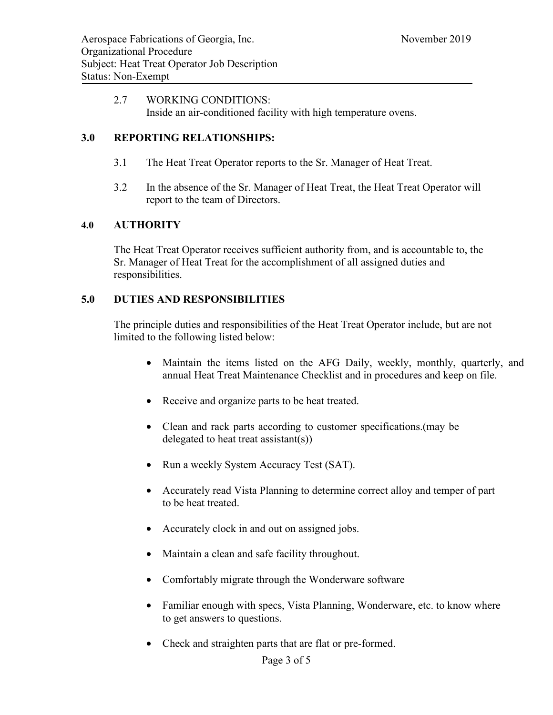#### 2.7 WORKING CONDITIONS: Inside an air-conditioned facility with high temperature ovens.

#### **3.0 REPORTING RELATIONSHIPS:**

- 3.1 The Heat Treat Operator reports to the Sr. Manager of Heat Treat.
- 3.2 In the absence of the Sr. Manager of Heat Treat, the Heat Treat Operator will report to the team of Directors.

#### **4.0 AUTHORITY**

The Heat Treat Operator receives sufficient authority from, and is accountable to, the Sr. Manager of Heat Treat for the accomplishment of all assigned duties and responsibilities.

#### **5.0 DUTIES AND RESPONSIBILITIES**

The principle duties and responsibilities of the Heat Treat Operator include, but are not limited to the following listed below:

- Maintain the items listed on the AFG Daily, weekly, monthly, quarterly, and annual Heat Treat Maintenance Checklist and in procedures and keep on file.
- Receive and organize parts to be heat treated.
- Clean and rack parts according to customer specifications.(may be delegated to heat treat assistant(s))
- Run a weekly System Accuracy Test (SAT).
- Accurately read Vista Planning to determine correct alloy and temper of part to be heat treated.
- Accurately clock in and out on assigned jobs.
- Maintain a clean and safe facility throughout.
- Comfortably migrate through the Wonderware software
- Familiar enough with specs, Vista Planning, Wonderware, etc. to know where to get answers to questions.
- Check and straighten parts that are flat or pre-formed.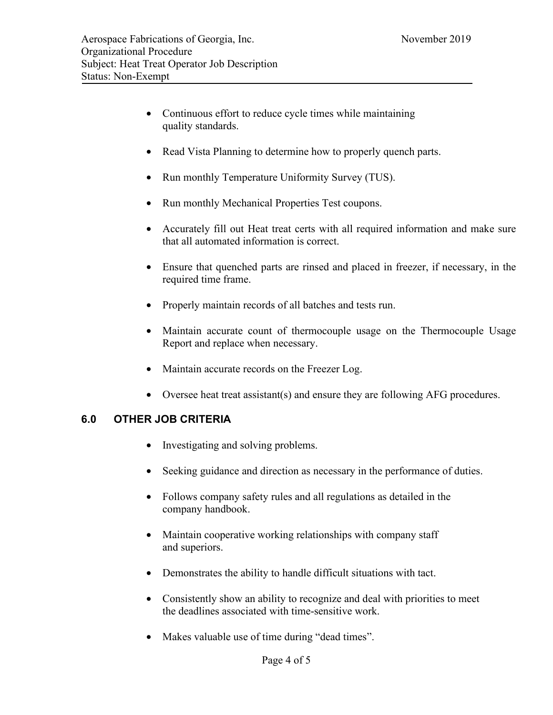- Continuous effort to reduce cycle times while maintaining quality standards.
- Read Vista Planning to determine how to properly quench parts.
- Run monthly Temperature Uniformity Survey (TUS).
- Run monthly Mechanical Properties Test coupons.
- Accurately fill out Heat treat certs with all required information and make sure that all automated information is correct.
- Ensure that quenched parts are rinsed and placed in freezer, if necessary, in the required time frame.
- Properly maintain records of all batches and tests run.
- Maintain accurate count of thermocouple usage on the Thermocouple Usage Report and replace when necessary.
- Maintain accurate records on the Freezer Log.
- Oversee heat treat assistant(s) and ensure they are following AFG procedures.

# **6.0 OTHER JOB CRITERIA**

- Investigating and solving problems.
- Seeking guidance and direction as necessary in the performance of duties.
- Follows company safety rules and all regulations as detailed in the company handbook.
- Maintain cooperative working relationships with company staff and superiors.
- Demonstrates the ability to handle difficult situations with tact.
- Consistently show an ability to recognize and deal with priorities to meet the deadlines associated with time-sensitive work.
- Makes valuable use of time during "dead times".